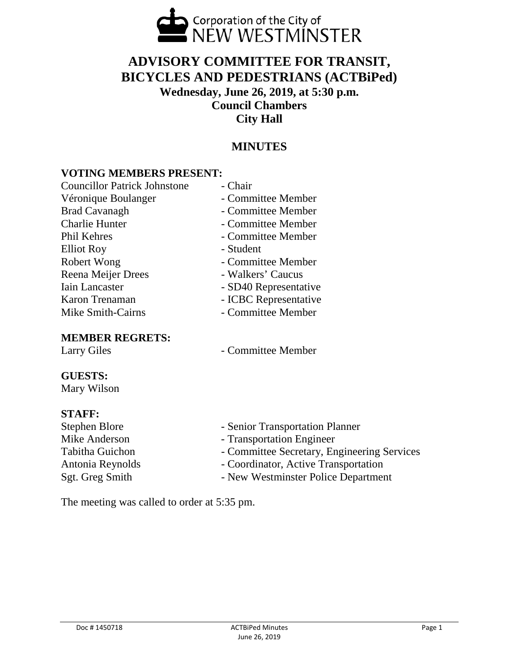

# **ADVISORY COMMITTEE FOR TRANSIT, BICYCLES AND PEDESTRIANS (ACTBiPed) Wednesday, June 26, 2019, at 5:30 p.m. Council Chambers City Hall**

## **MINUTES**

### **VOTING MEMBERS PRESENT:**

| <b>Councillor Patrick Johnstone</b> | - Chair               |
|-------------------------------------|-----------------------|
| Véronique Boulanger                 | - Committee Member    |
| <b>Brad Cavanagh</b>                | - Committee Member    |
| <b>Charlie Hunter</b>               | - Committee Member    |
| Phil Kehres                         | - Committee Member    |
| <b>Elliot Roy</b>                   | - Student             |
| Robert Wong                         | - Committee Member    |
| Reena Meijer Drees                  | - Walkers' Caucus     |
| <b>Iain Lancaster</b>               | - SD40 Representative |
| Karon Trenaman                      | - ICBC Representative |
| Mike Smith-Cairns                   | - Committee Member    |
|                                     |                       |

#### **MEMBER REGRETS:**

Larry Giles - Committee Member

## **GUESTS:**

Mary Wilson

**STAFF:** - Senior Transportation Planner Mike Anderson - Transportation Engineer Tabitha Guichon - Committee Secretary, Engineering Services Antonia Reynolds<br>
Sgt. Greg Smith<br>
- New Westminster Police Department - New Westminster Police Department

The meeting was called to order at 5:35 pm.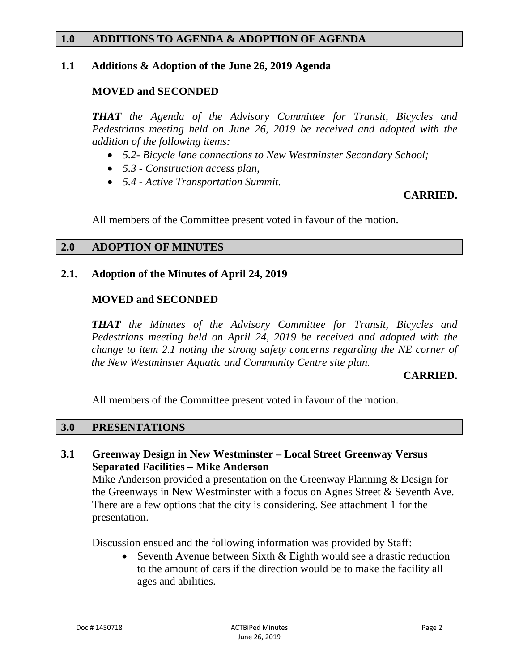#### **1.0 ADDITIONS TO AGENDA & ADOPTION OF AGENDA**

#### **1.1 Additions & Adoption of the June 26, 2019 Agenda**

## **MOVED and SECONDED**

*THAT the Agenda of the Advisory Committee for Transit, Bicycles and Pedestrians meeting held on June 26, 2019 be received and adopted with the addition of the following items:*

- *5.2- Bicycle lane connections to New Westminster Secondary School;*
- *5.3 - Construction access plan,*
- *5.4 - Active Transportation Summit.*

#### **CARRIED.**

All members of the Committee present voted in favour of the motion.

#### **2.0 ADOPTION OF MINUTES**

### **2.1. Adoption of the Minutes of April 24, 2019**

### **MOVED and SECONDED**

*THAT the Minutes of the Advisory Committee for Transit, Bicycles and Pedestrians meeting held on April 24, 2019 be received and adopted with the change to item 2.1 noting the strong safety concerns regarding the NE corner of the New Westminster Aquatic and Community Centre site plan.*

#### **CARRIED.**

All members of the Committee present voted in favour of the motion.

#### **3.0 PRESENTATIONS**

### **3.1 Greenway Design in New Westminster – Local Street Greenway Versus Separated Facilities – Mike Anderson**

Mike Anderson provided a presentation on the Greenway Planning & Design for the Greenways in New Westminster with a focus on Agnes Street & Seventh Ave. There are a few options that the city is considering. See attachment 1 for the presentation.

Discussion ensued and the following information was provided by Staff:

• Seventh Avenue between Sixth & Eighth would see a drastic reduction to the amount of cars if the direction would be to make the facility all ages and abilities.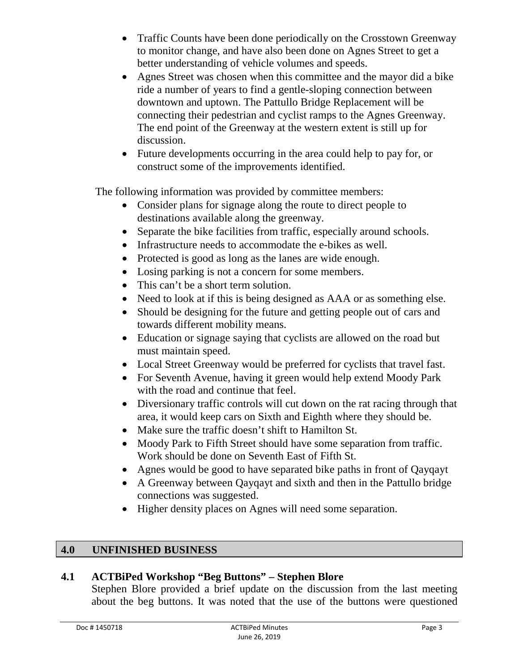- Traffic Counts have been done periodically on the Crosstown Greenway to monitor change, and have also been done on Agnes Street to get a better understanding of vehicle volumes and speeds.
- Agnes Street was chosen when this committee and the mayor did a bike ride a number of years to find a gentle-sloping connection between downtown and uptown. The Pattullo Bridge Replacement will be connecting their pedestrian and cyclist ramps to the Agnes Greenway. The end point of the Greenway at the western extent is still up for discussion.
- Future developments occurring in the area could help to pay for, or construct some of the improvements identified.

The following information was provided by committee members:

- Consider plans for signage along the route to direct people to destinations available along the greenway.
- Separate the bike facilities from traffic, especially around schools.
- Infrastructure needs to accommodate the e-bikes as well.
- Protected is good as long as the lanes are wide enough.
- Losing parking is not a concern for some members.
- This can't be a short term solution.
- Need to look at if this is being designed as AAA or as something else.
- Should be designing for the future and getting people out of cars and towards different mobility means.
- Education or signage saying that cyclists are allowed on the road but must maintain speed.
- Local Street Greenway would be preferred for cyclists that travel fast.
- For Seventh Avenue, having it green would help extend Moody Park with the road and continue that feel.
- Diversionary traffic controls will cut down on the rat racing through that area, it would keep cars on Sixth and Eighth where they should be.
- Make sure the traffic doesn't shift to Hamilton St.
- Moody Park to Fifth Street should have some separation from traffic. Work should be done on Seventh East of Fifth St.
- Agnes would be good to have separated bike paths in front of Qayqayt
- A Greenway between Qayqayt and sixth and then in the Pattullo bridge connections was suggested.
- Higher density places on Agnes will need some separation.

## **4.0 UNFINISHED BUSINESS**

## **4.1 ACTBiPed Workshop "Beg Buttons" – Stephen Blore**

Stephen Blore provided a brief update on the discussion from the last meeting about the beg buttons. It was noted that the use of the buttons were questioned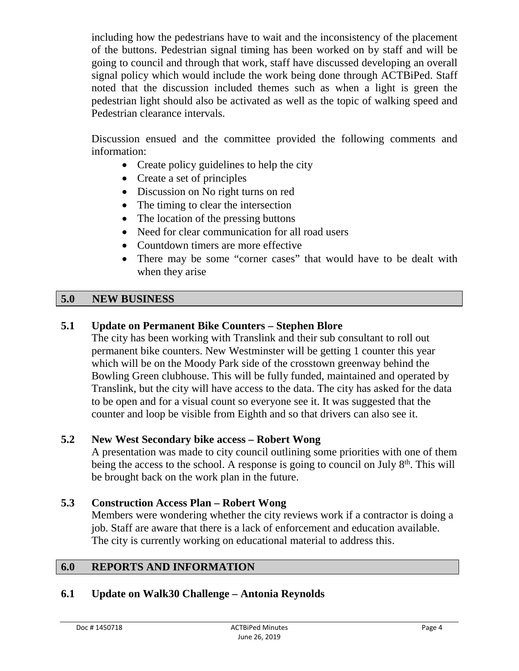including how the pedestrians have to wait and the inconsistency of the placement of the buttons. Pedestrian signal timing has been worked on by staff and will be going to council and through that work, staff have discussed developing an overall signal policy which would include the work being done through ACTBiPed. Staff noted that the discussion included themes such as when a light is green the pedestrian light should also be activated as well as the topic of walking speed and Pedestrian clearance intervals.

Discussion ensued and the committee provided the following comments and information:

- Create policy guidelines to help the city
- Create a set of principles
- Discussion on No right turns on red
- The timing to clear the intersection
- The location of the pressing buttons
- Need for clear communication for all road users
- Countdown timers are more effective
- There may be some "corner cases" that would have to be dealt with when they arise

## **5.0 NEW BUSINESS**

## **5.1 Update on Permanent Bike Counters – Stephen Blore**

The city has been working with Translink and their sub consultant to roll out permanent bike counters. New Westminster will be getting 1 counter this year which will be on the Moody Park side of the crosstown greenway behind the Bowling Green clubhouse. This will be fully funded, maintained and operated by Translink, but the city will have access to the data. The city has asked for the data to be open and for a visual count so everyone see it. It was suggested that the counter and loop be visible from Eighth and so that drivers can also see it.

## **5.2 New West Secondary bike access – Robert Wong**

A presentation was made to city council outlining some priorities with one of them being the access to the school. A response is going to council on July  $8<sup>th</sup>$ . This will be brought back on the work plan in the future.

## **5.3 Construction Access Plan – Robert Wong**

Members were wondering whether the city reviews work if a contractor is doing a job. Staff are aware that there is a lack of enforcement and education available. The city is currently working on educational material to address this.

#### **6.0 REPORTS AND INFORMATION**

## **6.1 Update on Walk30 Challenge – Antonia Reynolds**